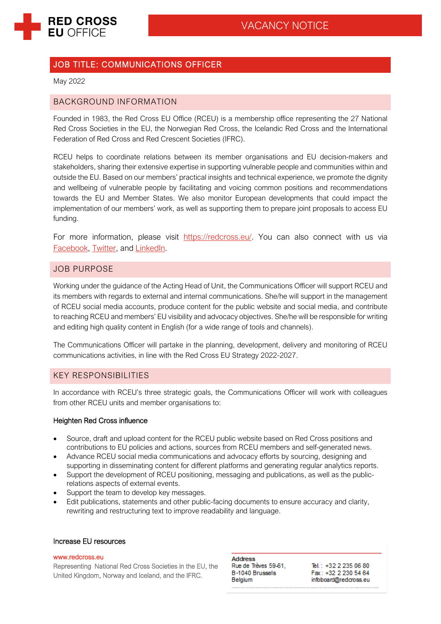

# JOB TITLE: COMMUNICATIONS OFFICER

May 2022

## BACKGROUND INFORMATION

Founded in 1983, the Red Cross EU Office (RCEU) is a membership office representing the 27 National Red Cross Societies in the EU, the Norwegian Red Cross, the Icelandic Red Cross and the International Federation of Red Cross and Red Crescent Societies (IFRC).

RCEU helps to coordinate relations between its member organisations and EU decision-makers and stakeholders, sharing their extensive expertise in supporting vulnerable people and communities within and outside the EU. Based on our members' practical insights and technical experience, we promote the dignity and wellbeing of vulnerable people by facilitating and voicing common positions and recommendations towards the EU and Member States. We also monitor European developments that could impact the implementation of our members' work, as well as supporting them to prepare joint proposals to access EU funding.

For more information, please visit [https://redcross.eu/.](https://redcross.eu/) You can also connect with us via [Facebook,](http://www.facebook.com/RedCrossEU) [Twitter,](http://twitter.com/RedCrossEU) and [LinkedIn.](https://www.linkedin.com/company/red-cross-eu-office)

## JOB PURPOSE

Working under the guidance of the Acting Head of Unit, the Communications Officer will support RCEU and its members with regards to external and internal communications. She/he will support in the management of RCEU social media accounts, produce content for the public website and social media, and contribute to reaching RCEU and members' EU visibility and advocacy objectives. She/he will be responsible for writing and editing high quality content in English (for a wide range of tools and channels).

The Communications Officer will partake in the planning, development, delivery and monitoring of RCEU communications activities, in line with the Red Cross EU Strategy 2022-2027.

## KEY RESPONSIBILITIES

In accordance with RCEU's three strategic goals, the Communications Officer will work with colleagues from other RCEU units and member organisations to:

### Heighten Red Cross influence

- Source, draft and upload content for the RCEU public website based on Red Cross positions and contributions to EU policies and actions, sources from RCEU members and self-generated news.
- Advance RCEU social media communications and advocacy efforts by sourcing, designing and supporting in disseminating content for different platforms and generating regular analytics reports.
- Support the development of RCEU positioning, messaging and publications, as well as the publicrelations aspects of external events.
- Support the team to develop key messages.
- Edit publications, statements and other public-facing documents to ensure accuracy and clarity, rewriting and restructuring text to improve readability and language.

## Increase EU resources

#### [www.redcross.eu](http://www.redcross.eu/)

Representing National Red Cross Societies in the EU, the United Kingdom, Norway and Iceland, and the IFRC.

**Address** Rue de Trèves 59-61. B-1040 Brussels Belgium

Tel.: +32 2 235 06 80 Fax: +32 2 230 54 64 infoboard@redcross.eu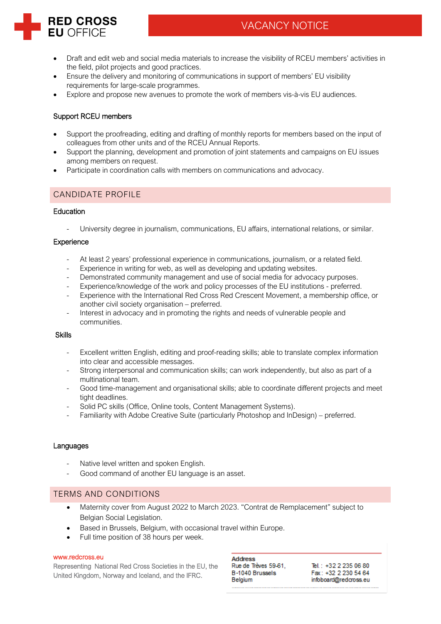

- Draft and edit web and social media materials to increase the visibility of RCEU members' activities in the field, pilot projects and good practices.
- Ensure the delivery and monitoring of communications in support of members' EU visibility requirements for large-scale programmes.
- Explore and propose new avenues to promote the work of members vis-à-vis EU audiences.

## Support RCEU members

**RED CROSS EU OFFICE** 

- Support the proofreading, editing and drafting of monthly reports for members based on the input of colleagues from other units and of the RCEU Annual Reports.
- Support the planning, development and promotion of joint statements and campaigns on EU issues among members on request.
- Participate in coordination calls with members on communications and advocacy.

## CANDIDATE PROFILE

### Education

University degree in journalism, communications, EU affairs, international relations, or similar.

### **Experience**

- At least 2 years' professional experience in communications, journalism, or a related field.
- Experience in writing for web, as well as developing and updating websites.
- Demonstrated community management and use of social media for advocacy purposes.
- Experience/knowledge of the work and policy processes of the EU institutions preferred.
- Experience with the International Red Cross Red Crescent Movement, a membership office, or another civil society organisation – preferred.
- Interest in advocacy and in promoting the rights and needs of vulnerable people and communities.

### Skills

- Excellent written English, editing and proof-reading skills; able to translate complex information into clear and accessible messages.
- Strong interpersonal and communication skills; can work independently, but also as part of a multinational team.
- Good time-management and organisational skills; able to coordinate different projects and meet tight deadlines.
- Solid PC skills (Office, Online tools, Content Management Systems).
- Familiarity with Adobe Creative Suite (particularly Photoshop and InDesign) preferred.

### Languages

- Native level written and spoken English.
- Good command of another EU language is an asset.

## TERMS AND CONDITIONS

- Maternity cover from August 2022 to March 2023. "Contrat de Remplacement" subject to Belgian Social Legislation.
- Based in Brussels, Belgium, with occasional travel within Europe.
- Full time position of 38 hours per week.

#### [www.redcross.eu](http://www.redcross.eu/)

Representing National Red Cross Societies in the EU, the United Kingdom, Norway and Iceland, and the IFRC.

**Address** Rue de Trèves 59-61. B-1040 Brussels Belgium

Tel.: +32 2 235 06 80 Fax: +32 2 230 54 64 infoboard@redcross.eu